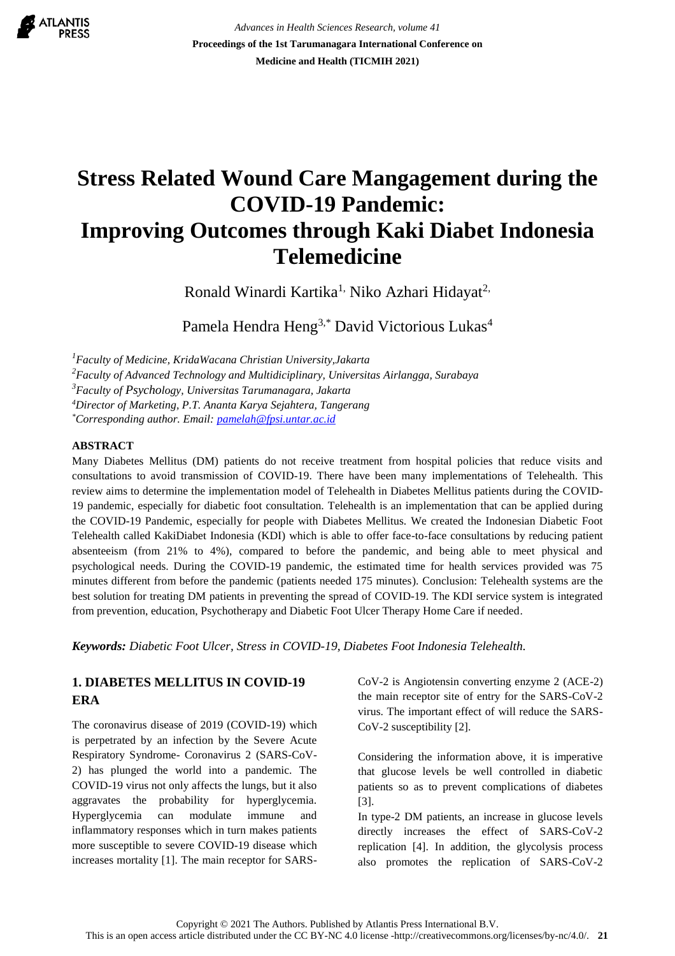

*Advances in Health Sciences Research, volume 41* **Proceedings of the 1st Tarumanagara International Conference on Medicine and Health (TICMIH 2021)**

# **Stress Related Wound Care Mangagement during the COVID-19 Pandemic: Improving Outcomes through Kaki Diabet Indonesia Telemedicine**

Ronald Winardi Kartika<sup>1,</sup> Niko Azhari Hidayat<sup>2,</sup>

Pamela Hendra Heng<sup>3,\*</sup> David Victorious Lukas<sup>4</sup>

*<sup>1</sup>Faculty of Medicine, KridaWacana Christian University,Jakarta*

*<sup>2</sup>Faculty of Advanced Technology and Multidiciplinary, Universitas Airlangga, Surabaya*

*<sup>3</sup>Faculty of Psychology, Universitas Tarumanagara, Jakarta*

*<sup>4</sup>Director of Marketing, P.T. Ananta Karya Sejahtera, Tangerang*

*\*Corresponding author. Email: pamelah@fpsi.untar.ac.id*

## **ABSTRACT**

Many Diabetes Mellitus (DM) patients do not receive treatment from hospital policies that reduce visits and consultations to avoid transmission of COVID-19. There have been many implementations of Telehealth. This review aims to determine the implementation model of Telehealth in Diabetes Mellitus patients during the COVID-19 pandemic, especially for diabetic foot consultation. Telehealth is an implementation that can be applied during the COVID-19 Pandemic, especially for people with Diabetes Mellitus. We created the Indonesian Diabetic Foot Telehealth called KakiDiabet Indonesia (KDI) which is able to offer face-to-face consultations by reducing patient absenteeism (from 21% to 4%), compared to before the pandemic, and being able to meet physical and psychological needs. During the COVID-19 pandemic, the estimated time for health services provided was 75 minutes different from before the pandemic (patients needed 175 minutes). Conclusion: Telehealth systems are the best solution for treating DM patients in preventing the spread of COVID-19. The KDI service system is integrated from prevention, education, Psychotherapy and Diabetic Foot Ulcer Therapy Home Care if needed.

*Keywords: Diabetic Foot Ulcer, Stress in COVID-19, Diabetes Foot Indonesia Telehealth.*

# **1. DIABETES MELLITUS IN COVID-19 ERA**

The coronavirus disease of 2019 (COVID-19) which is perpetrated by an infection by the Severe Acute Respiratory Syndrome- Coronavirus 2 (SARS-CoV-2) has plunged the world into a pandemic. The COVID-19 virus not only affects the lungs, but it also aggravates the probability for hyperglycemia. Hyperglycemia can modulate immune and inflammatory responses which in turn makes patients more susceptible to severe COVID-19 disease which increases mortality [1]. The main receptor for SARS- CoV-2 is Angiotensin converting enzyme 2 (ACE-2) the main receptor site of entry for the SARS-CoV-2 virus. The important effect of will reduce the SARS-CoV-2 susceptibility [2].

Considering the information above, it is imperative that glucose levels be well controlled in diabetic patients so as to prevent complications of diabetes [3].

In type-2 DM patients, an increase in glucose levels directly increases the effect of SARS-CoV-2 replication [4]. In addition, the glycolysis process also promotes the replication of SARS-CoV-2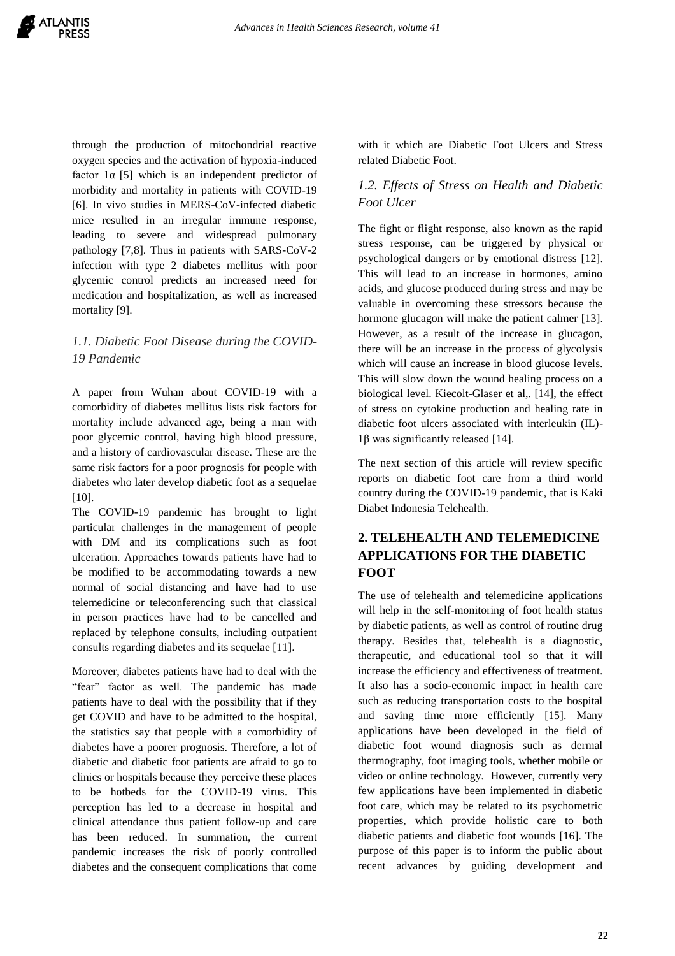through the production of mitochondrial reactive oxygen species and the activation of hypoxia-induced factor  $1\alpha$  [5] which is an independent predictor of morbidity and mortality in patients with COVID-19 [6]. In vivo studies in MERS-CoV-infected diabetic mice resulted in an irregular immune response, leading to severe and widespread pulmonary pathology [7,8]. Thus in patients with SARS-CoV-2 infection with type 2 diabetes mellitus with poor glycemic control predicts an increased need for medication and hospitalization, as well as increased mortality [9].

# *1.1. Diabetic Foot Disease during the COVID-19 Pandemic*

A paper from Wuhan about COVID-19 with a comorbidity of diabetes mellitus lists risk factors for mortality include advanced age, being a man with poor glycemic control, having high blood pressure, and a history of cardiovascular disease. These are the same risk factors for a poor prognosis for people with diabetes who later develop diabetic foot as a sequelae [10].

The COVID-19 pandemic has brought to light particular challenges in the management of people with DM and its complications such as foot ulceration. Approaches towards patients have had to be modified to be accommodating towards a new normal of social distancing and have had to use telemedicine or teleconferencing such that classical in person practices have had to be cancelled and replaced by telephone consults, including outpatient consults regarding diabetes and its sequelae [11].

Moreover, diabetes patients have had to deal with the "fear" factor as well. The pandemic has made patients have to deal with the possibility that if they get COVID and have to be admitted to the hospital, the statistics say that people with a comorbidity of diabetes have a poorer prognosis. Therefore, a lot of diabetic and diabetic foot patients are afraid to go to clinics or hospitals because they perceive these places to be hotbeds for the COVID-19 virus. This perception has led to a decrease in hospital and clinical attendance thus patient follow-up and care has been reduced. In summation, the current pandemic increases the risk of poorly controlled diabetes and the consequent complications that come

with it which are Diabetic Foot Ulcers and Stress related Diabetic Foot.

# *1.2. Effects of Stress on Health and Diabetic Foot Ulcer*

The fight or flight response, also known as the rapid stress response, can be triggered by physical or psychological dangers or by emotional distress [12]. This will lead to an increase in hormones, amino acids, and glucose produced during stress and may be valuable in overcoming these stressors because the hormone glucagon will make the patient calmer [13]. However, as a result of the increase in glucagon, there will be an increase in the process of glycolysis which will cause an increase in blood glucose levels. This will slow down the wound healing process on a biological level. Kiecolt-Glaser et al,. [14], the effect of stress on cytokine production and healing rate in diabetic foot ulcers associated with interleukin (IL)- 1β was significantly released [14].

The next section of this article will review specific reports on diabetic foot care from a third world country during the COVID-19 pandemic, that is Kaki Diabet Indonesia Telehealth.

# **2. TELEHEALTH AND TELEMEDICINE APPLICATIONS FOR THE DIABETIC FOOT**

The use of telehealth and telemedicine applications will help in the self-monitoring of foot health status by diabetic patients, as well as control of routine drug therapy. Besides that, telehealth is a diagnostic, therapeutic, and educational tool so that it will increase the efficiency and effectiveness of treatment. It also has a socio-economic impact in health care such as reducing transportation costs to the hospital and saving time more efficiently [15]. Many applications have been developed in the field of diabetic foot wound diagnosis such as dermal thermography, foot imaging tools, whether mobile or video or online technology. However, currently very few applications have been implemented in diabetic foot care, which may be related to its psychometric properties, which provide holistic care to both diabetic patients and diabetic foot wounds [16]. The purpose of this paper is to inform the public about recent advances by guiding development and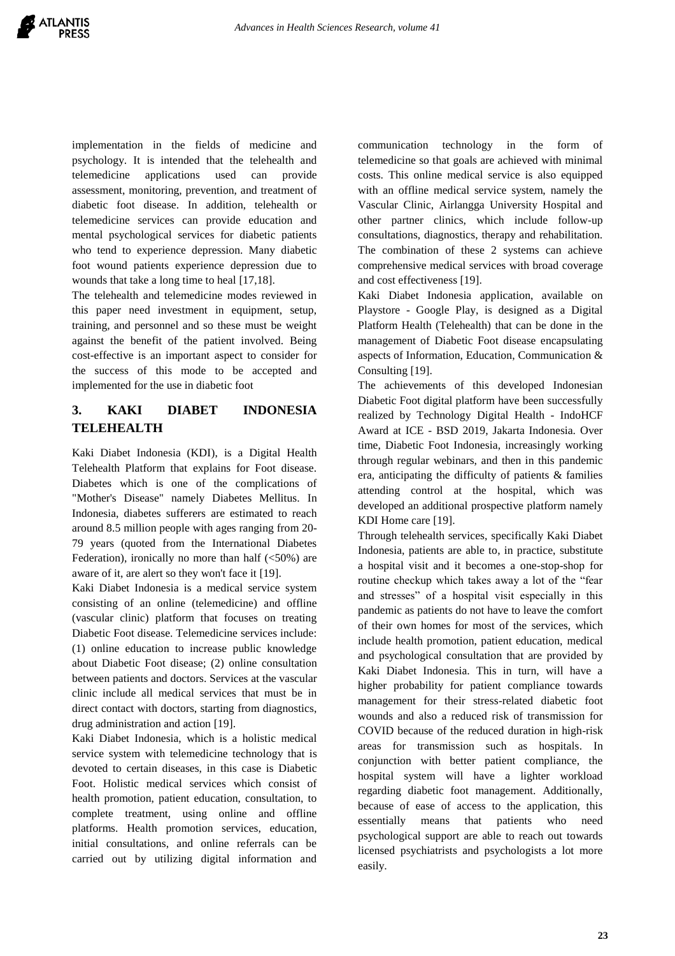implementation in the fields of medicine and psychology. It is intended that the telehealth and telemedicine applications used can provide assessment, monitoring, prevention, and treatment of diabetic foot disease. In addition, telehealth or telemedicine services can provide education and mental psychological services for diabetic patients who tend to experience depression. Many diabetic foot wound patients experience depression due to wounds that take a long time to heal [17,18].

The telehealth and telemedicine modes reviewed in this paper need investment in equipment, setup, training, and personnel and so these must be weight against the benefit of the patient involved. Being cost-effective is an important aspect to consider for the success of this mode to be accepted and implemented for the use in diabetic foot

# **3. KAKI DIABET INDONESIA TELEHEALTH**

Kaki Diabet Indonesia (KDI), is a Digital Health Telehealth Platform that explains for Foot disease. Diabetes which is one of the complications of "Mother's Disease" namely Diabetes Mellitus. In Indonesia, diabetes sufferers are estimated to reach around 8.5 million people with ages ranging from 20- 79 years (quoted from the International Diabetes Federation), ironically no more than half  $(<50\%)$  are aware of it, are alert so they won't face it [19].

Kaki Diabet Indonesia is a medical service system consisting of an online (telemedicine) and offline (vascular clinic) platform that focuses on treating Diabetic Foot disease. Telemedicine services include: (1) online education to increase public knowledge about Diabetic Foot disease; (2) online consultation between patients and doctors. Services at the vascular clinic include all medical services that must be in direct contact with doctors, starting from diagnostics, drug administration and action [19].

Kaki Diabet Indonesia, which is a holistic medical service system with telemedicine technology that is devoted to certain diseases, in this case is Diabetic Foot. Holistic medical services which consist of health promotion, patient education, consultation, to complete treatment, using online and offline platforms. Health promotion services, education, initial consultations, and online referrals can be carried out by utilizing digital information and

communication technology in the form of telemedicine so that goals are achieved with minimal costs. This online medical service is also equipped with an offline medical service system, namely the Vascular Clinic, Airlangga University Hospital and other partner clinics, which include follow-up consultations, diagnostics, therapy and rehabilitation. The combination of these 2 systems can achieve comprehensive medical services with broad coverage and cost effectiveness [19].

Kaki Diabet Indonesia application, available on Playstore - Google Play, is designed as a Digital Platform Health (Telehealth) that can be done in the management of Diabetic Foot disease encapsulating aspects of Information, Education, Communication & Consulting [19].

The achievements of this developed Indonesian Diabetic Foot digital platform have been successfully realized by Technology Digital Health - IndoHCF Award at ICE - BSD 2019, Jakarta Indonesia. Over time, Diabetic Foot Indonesia, increasingly working through regular webinars, and then in this pandemic era, anticipating the difficulty of patients & families attending control at the hospital, which was developed an additional prospective platform namely KDI Home care [19].

Through telehealth services, specifically Kaki Diabet Indonesia, patients are able to, in practice, substitute a hospital visit and it becomes a one-stop-shop for routine checkup which takes away a lot of the "fear and stresses" of a hospital visit especially in this pandemic as patients do not have to leave the comfort of their own homes for most of the services, which include health promotion, patient education, medical and psychological consultation that are provided by Kaki Diabet Indonesia. This in turn, will have a higher probability for patient compliance towards management for their stress-related diabetic foot wounds and also a reduced risk of transmission for COVID because of the reduced duration in high-risk areas for transmission such as hospitals. In conjunction with better patient compliance, the hospital system will have a lighter workload regarding diabetic foot management. Additionally, because of ease of access to the application, this essentially means that patients who need psychological support are able to reach out towards licensed psychiatrists and psychologists a lot more easily.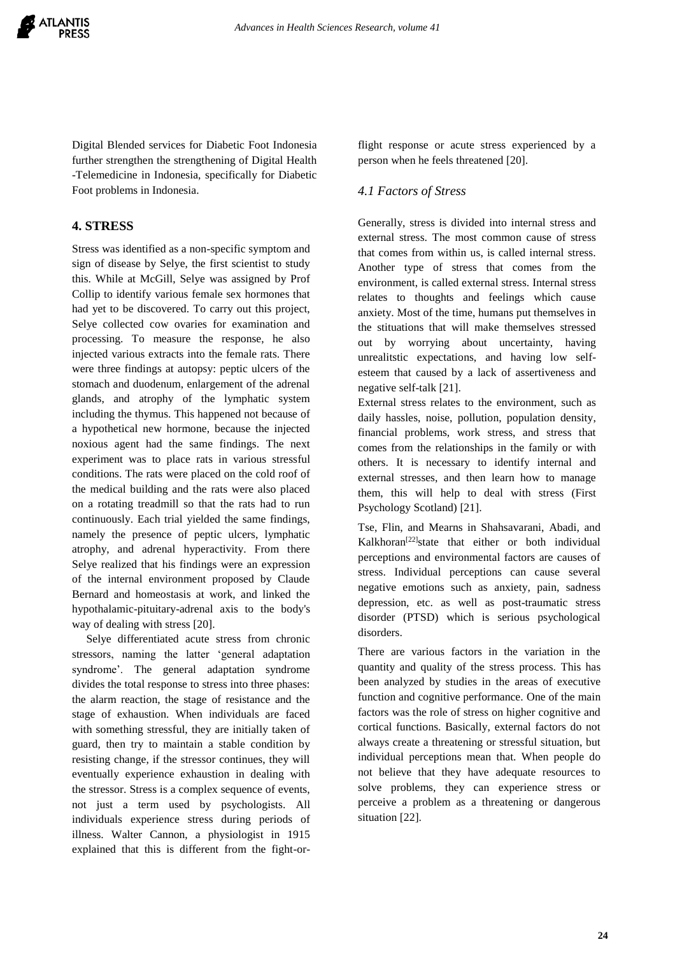Digital Blended services for Diabetic Foot Indonesia further strengthen the strengthening of Digital Health -Telemedicine in Indonesia, specifically for Diabetic Foot problems in Indonesia.

# **4. STRESS**

Stress was identified as a non-specific symptom and sign of disease by Selye, the first scientist to study this. While at McGill, Selye was assigned by Prof Collip to identify various female sex hormones that had yet to be discovered. To carry out this project, Selye collected cow ovaries for examination and processing. To measure the response, he also injected various extracts into the female rats. There were three findings at autopsy: peptic ulcers of the stomach and duodenum, enlargement of the adrenal glands, and atrophy of the lymphatic system including the thymus. This happened not because of a hypothetical new hormone, because the injected noxious agent had the same findings. The next experiment was to place rats in various stressful conditions. The rats were placed on the cold roof of the medical building and the rats were also placed on a rotating treadmill so that the rats had to run continuously. Each trial yielded the same findings, namely the presence of peptic ulcers, lymphatic atrophy, and adrenal hyperactivity. From there Selye realized that his findings were an expression of the internal environment proposed by Claude Bernard and homeostasis at work, and linked the hypothalamic-pituitary-adrenal axis to the body's way of dealing with stress [20].

 Selye differentiated acute stress from chronic stressors, naming the latter 'general adaptation syndrome'. The general adaptation syndrome divides the total response to stress into three phases: the alarm reaction, the stage of resistance and the stage of exhaustion. When individuals are faced with something stressful, they are initially taken of guard, then try to maintain a stable condition by resisting change, if the stressor continues, they will eventually experience exhaustion in dealing with the stressor. Stress is a complex sequence of events, not just a term used by psychologists. All individuals experience stress during periods of illness. Walter Cannon, a physiologist in 1915 explained that this is different from the fight-orflight response or acute stress experienced by a person when he feels threatened [20].

# *4.1 Factors of Stress*

Generally, stress is divided into internal stress and external stress. The most common cause of stress that comes from within us, is called internal stress. Another type of stress that comes from the environment, is called external stress. Internal stress relates to thoughts and feelings which cause anxiety. Most of the time, humans put themselves in the stituations that will make themselves stressed out by worrying about uncertainty, having unrealitstic expectations, and having low selfesteem that caused by a lack of assertiveness and negative self-talk [21].

External stress relates to the environment, such as daily hassles, noise, pollution, population density, financial problems, work stress, and stress that comes from the relationships in the family or with others. It is necessary to identify internal and external stresses, and then learn how to manage them, this will help to deal with stress (First Psychology Scotland) [21].

Tse, Flin, and Mearns in Shahsavarani, Abadi, and Kalkhoran<sup>[22]</sup>state that either or both individual perceptions and environmental factors are causes of stress. Individual perceptions can cause several negative emotions such as anxiety, pain, sadness depression, etc. as well as post-traumatic stress disorder (PTSD) which is serious psychological disorders.

There are various factors in the variation in the quantity and quality of the stress process. This has been analyzed by studies in the areas of executive function and cognitive performance. One of the main factors was the role of stress on higher cognitive and cortical functions. Basically, external factors do not always create a threatening or stressful situation, but individual perceptions mean that. When people do not believe that they have adequate resources to solve problems, they can experience stress or perceive a problem as a threatening or dangerous situation [22].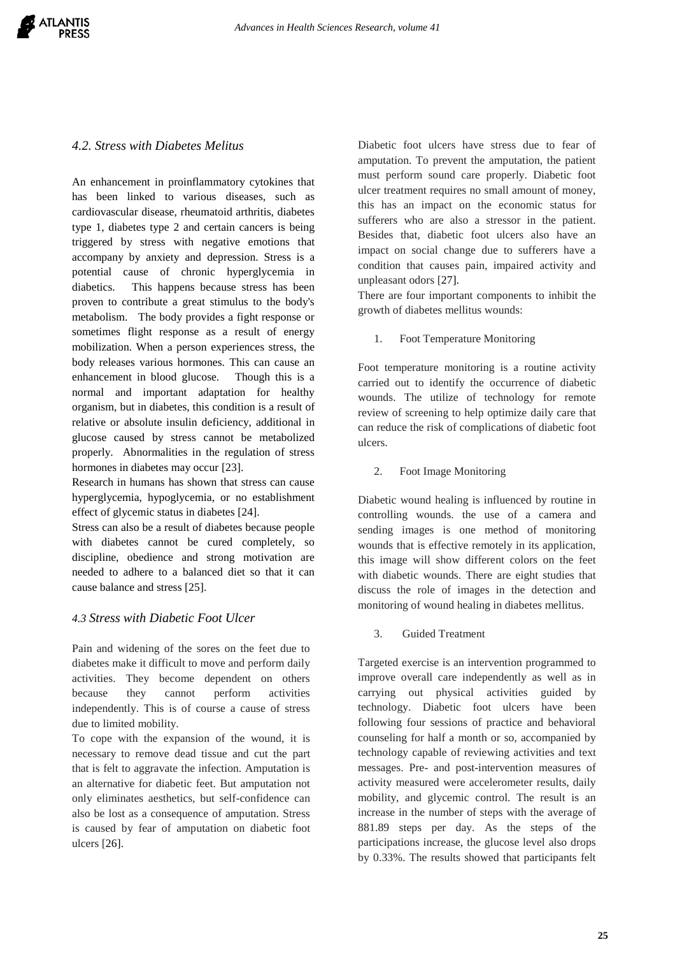## *4.2. Stress with Diabetes Melitus*

An enhancement in proinflammatory cytokines that has been linked to various diseases, such as cardiovascular disease, rheumatoid arthritis, diabetes type 1, diabetes type 2 and certain cancers is being triggered by stress with negative emotions that accompany by anxiety and depression. Stress is a potential cause of chronic hyperglycemia in diabetics. This happens because stress has been proven to contribute a great stimulus to the body's metabolism. The body provides a fight response or sometimes flight response as a result of energy mobilization. When a person experiences stress, the body releases various hormones. This can cause an enhancement in blood glucose. Though this is a normal and important adaptation for healthy organism, but in diabetes, this condition is a result of relative or absolute insulin deficiency, additional in glucose caused by stress cannot be metabolized properly. Abnormalities in the regulation of stress hormones in diabetes may occur [23].

Research in humans has shown that stress can cause hyperglycemia, hypoglycemia, or no establishment effect of glycemic status in diabetes [24].

Stress can also be a result of diabetes because people with diabetes cannot be cured completely, so discipline, obedience and strong motivation are needed to adhere to a balanced diet so that it can cause balance and stress [25].

## *4.3 Stress with Diabetic Foot Ulcer*

Pain and widening of the sores on the feet due to diabetes make it difficult to move and perform daily activities. They become dependent on others because they cannot perform activities independently. This is of course a cause of stress due to limited mobility.

To cope with the expansion of the wound, it is necessary to remove dead tissue and cut the part that is felt to aggravate the infection. Amputation is an alternative for diabetic feet. But amputation not only eliminates aesthetics, but self-confidence can also be lost as a consequence of amputation. Stress is caused by fear of amputation on diabetic foot ulcers [26].

Diabetic foot ulcers have stress due to fear of amputation. To prevent the amputation, the patient must perform sound care properly. Diabetic foot ulcer treatment requires no small amount of money, this has an impact on the economic status for sufferers who are also a stressor in the patient. Besides that, diabetic foot ulcers also have an impact on social change due to sufferers have a condition that causes pain, impaired activity and unpleasant odors [27].

There are four important components to inhibit the growth of diabetes mellitus wounds:

1. Foot Temperature Monitoring

Foot temperature monitoring is a routine activity carried out to identify the occurrence of diabetic wounds. The utilize of technology for remote review of screening to help optimize daily care that can reduce the risk of complications of diabetic foot ulcers.

2. Foot Image Monitoring

Diabetic wound healing is influenced by routine in controlling wounds. the use of a camera and sending images is one method of monitoring wounds that is effective remotely in its application, this image will show different colors on the feet with diabetic wounds. There are eight studies that discuss the role of images in the detection and monitoring of wound healing in diabetes mellitus.

3. Guided Treatment

Targeted exercise is an intervention programmed to improve overall care independently as well as in carrying out physical activities guided by technology. Diabetic foot ulcers have been following four sessions of practice and behavioral counseling for half a month or so, accompanied by technology capable of reviewing activities and text messages. Pre- and post-intervention measures of activity measured were accelerometer results, daily mobility, and glycemic control. The result is an increase in the number of steps with the average of 881.89 steps per day. As the steps of the participations increase, the glucose level also drops by 0.33%. The results showed that participants felt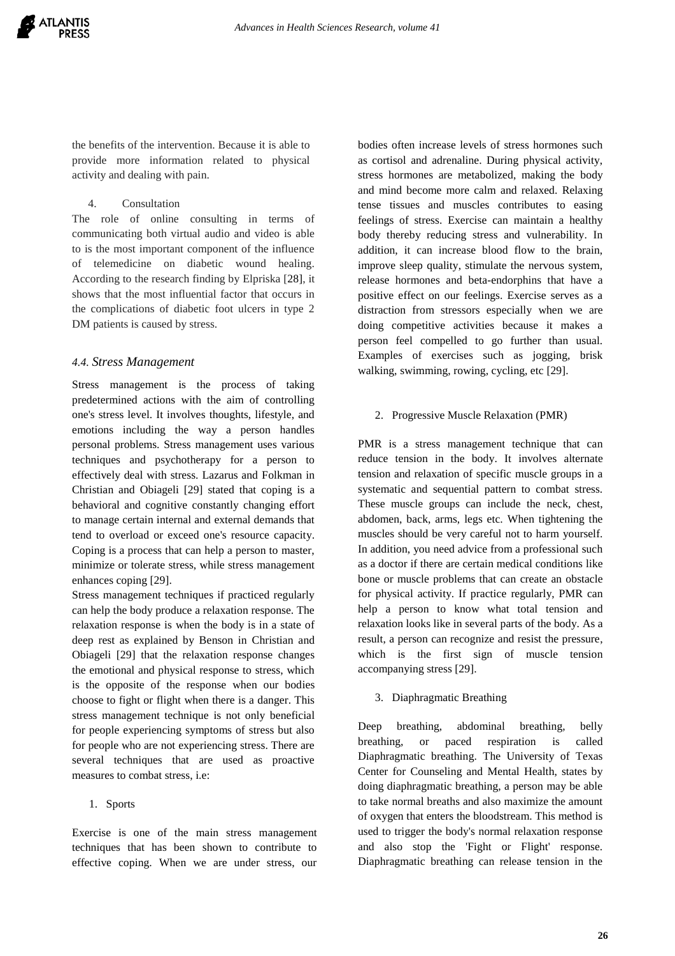the benefits of the intervention. Because it is able to provide more information related to physical activity and dealing with pain.

## 4. Consultation

The role of online consulting in terms of communicating both virtual audio and video is able to is the most important component of the influence of telemedicine on diabetic wound healing. According to the research finding by Elpriska [28], it shows that the most influential factor that occurs in the complications of diabetic foot ulcers in type 2 DM patients is caused by stress.

## *4.4. Stress Management*

Stress management is the process of taking predetermined actions with the aim of controlling one's stress level. It involves thoughts, lifestyle, and emotions including the way a person handles personal problems. Stress management uses various techniques and psychotherapy for a person to effectively deal with stress. Lazarus and Folkman in Christian and Obiageli [29] stated that coping is a behavioral and cognitive constantly changing effort to manage certain internal and external demands that tend to overload or exceed one's resource capacity. Coping is a process that can help a person to master, minimize or tolerate stress, while stress management enhances coping [29].

Stress management techniques if practiced regularly can help the body produce a relaxation response. The relaxation response is when the body is in a state of deep rest as explained by Benson in Christian and Obiageli [29] that the relaxation response changes the emotional and physical response to stress, which is the opposite of the response when our bodies choose to fight or flight when there is a danger. This stress management technique is not only beneficial for people experiencing symptoms of stress but also for people who are not experiencing stress. There are several techniques that are used as proactive measures to combat stress, i.e:

## 1. Sports

Exercise is one of the main stress management techniques that has been shown to contribute to effective coping. When we are under stress, our bodies often increase levels of stress hormones such as cortisol and adrenaline. During physical activity, stress hormones are metabolized, making the body and mind become more calm and relaxed. Relaxing tense tissues and muscles contributes to easing feelings of stress. Exercise can maintain a healthy body thereby reducing stress and vulnerability. In addition, it can increase blood flow to the brain, improve sleep quality, stimulate the nervous system, release hormones and beta-endorphins that have a positive effect on our feelings. Exercise serves as a distraction from stressors especially when we are doing competitive activities because it makes a person feel compelled to go further than usual. Examples of exercises such as jogging, brisk walking, swimming, rowing, cycling, etc [29].

## 2. Progressive Muscle Relaxation (PMR)

PMR is a stress management technique that can reduce tension in the body. It involves alternate tension and relaxation of specific muscle groups in a systematic and sequential pattern to combat stress. These muscle groups can include the neck, chest, abdomen, back, arms, legs etc. When tightening the muscles should be very careful not to harm yourself. In addition, you need advice from a professional such as a doctor if there are certain medical conditions like bone or muscle problems that can create an obstacle for physical activity. If practice regularly, PMR can help a person to know what total tension and relaxation looks like in several parts of the body. As a result, a person can recognize and resist the pressure, which is the first sign of muscle tension accompanying stress [29].

## 3. Diaphragmatic Breathing

Deep breathing, abdominal breathing, belly breathing, or paced respiration is called Diaphragmatic breathing. The University of Texas Center for Counseling and Mental Health, states by doing diaphragmatic breathing, a person may be able to take normal breaths and also maximize the amount of oxygen that enters the bloodstream. This method is used to trigger the body's normal relaxation response and also stop the 'Fight or Flight' response. Diaphragmatic breathing can release tension in the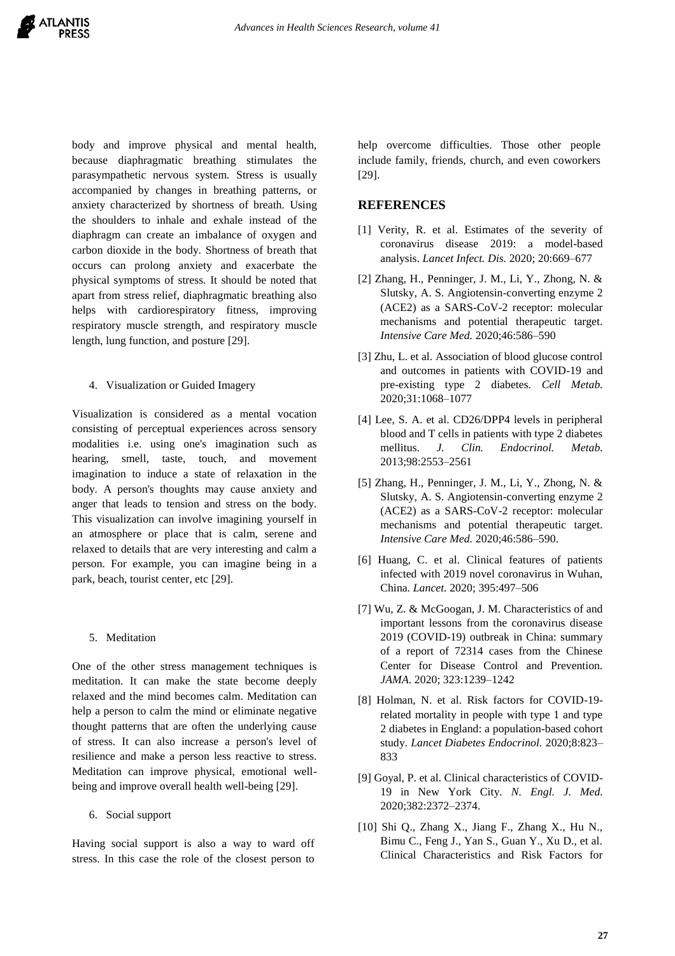body and improve physical and mental health, because diaphragmatic breathing stimulates the parasympathetic nervous system. Stress is usually accompanied by changes in breathing patterns, or anxiety characterized by shortness of breath. Using the shoulders to inhale and exhale instead of the diaphragm can create an imbalance of oxygen and carbon dioxide in the body. Shortness of breath that occurs can prolong anxiety and exacerbate the physical symptoms of stress. It should be noted that apart from stress relief, diaphragmatic breathing also helps with cardiorespiratory fitness, improving respiratory muscle strength, and respiratory muscle length, lung function, and posture [29].

## 4. Visualization or Guided Imagery

Visualization is considered as a mental vocation consisting of perceptual experiences across sensory modalities i.e. using one's imagination such as hearing, smell, taste, touch, and movement imagination to induce a state of relaxation in the body. A person's thoughts may cause anxiety and anger that leads to tension and stress on the body. This visualization can involve imagining yourself in an atmosphere or place that is calm, serene and relaxed to details that are very interesting and calm a person. For example, you can imagine being in a park, beach, tourist center, etc [29].

## 5. Meditation

One of the other stress management techniques is meditation. It can make the state become deeply relaxed and the mind becomes calm. Meditation can help a person to calm the mind or eliminate negative thought patterns that are often the underlying cause of stress. It can also increase a person's level of resilience and make a person less reactive to stress. Meditation can improve physical, emotional wellbeing and improve overall health well-being [29].

#### 6. Social support

Having social support is also a way to ward off stress. In this case the role of the closest person to help overcome difficulties. Those other people include family, friends, church, and even coworkers [29].

## **REFERENCES**

- [1] Verity, R. et al. Estimates of the severity of coronavirus disease 2019: a model-based analysis. *Lancet Infect. Dis.* 2020; 20:669–677
- [2] Zhang, H., Penninger, J. M., Li, Y., Zhong, N. & Slutsky, A. S. Angiotensin-converting enzyme 2 (ACE2) as a SARS-CoV-2 receptor: molecular mechanisms and potential therapeutic target. *Intensive Care Med.* 2020;46:586–590
- [3] Zhu, L. et al. Association of blood glucose control and outcomes in patients with COVID-19 and pre-existing type 2 diabetes. *Cell Metab.* 2020;31:1068–1077
- [4] Lee, S. A. et al. CD26/DPP4 levels in peripheral blood and T cells in patients with type 2 diabetes mellitus. *J. Clin. Endocrinol. Metab.* 2013;98:2553–2561
- [5] Zhang, H., Penninger, J. M., Li, Y., Zhong, N. & Slutsky, A. S. Angiotensin-converting enzyme 2 (ACE2) as a SARS-CoV-2 receptor: molecular mechanisms and potential therapeutic target. *Intensive Care Med.* 2020;46:586–590.
- [6] Huang, C. et al. Clinical features of patients infected with 2019 novel coronavirus in Wuhan, China. *Lancet.* 2020; 395:497–506
- [7] Wu, Z. & McGoogan, J. M. Characteristics of and important lessons from the coronavirus disease 2019 (COVID-19) outbreak in China: summary of a report of 72314 cases from the Chinese Center for Disease Control and Prevention. *JAMA*. 2020; 323:1239–1242
- [8] Holman, N. et al. Risk factors for COVID-19 related mortality in people with type 1 and type 2 diabetes in England: a population-based cohort study. *Lancet Diabetes Endocrinol.* 2020;8:823– 833
- [9] Goyal, P. et al. Clinical characteristics of COVID-19 in New York City. *N. Engl. J. Med.*  2020;382:2372–2374.
- [10] Shi Q., Zhang X., Jiang F., Zhang X., Hu N., Bimu C., Feng J., Yan S., Guan Y., Xu D., et al. Clinical Characteristics and Risk Factors for